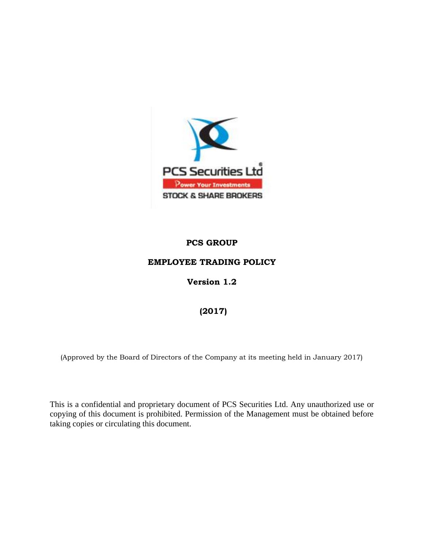

# **PCS GROUP**

### **EMPLOYEE TRADING POLICY**

### **Version 1.2**

# **(2017)**

(Approved by the Board of Directors of the Company at its meeting held in January 2017)

This is a confidential and proprietary document of PCS Securities Ltd. Any unauthorized use or copying of this document is prohibited. Permission of the Management must be obtained before taking copies or circulating this document.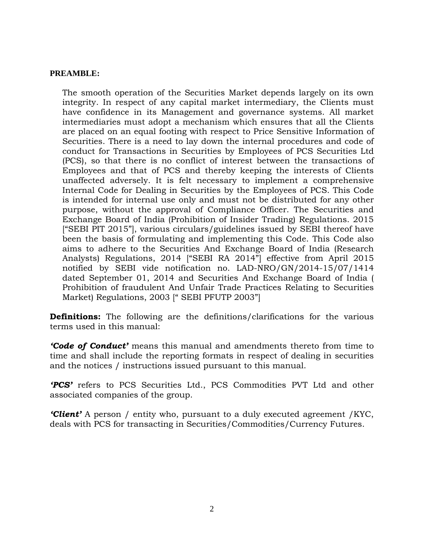#### **PREAMBLE:**

The smooth operation of the Securities Market depends largely on its own integrity. In respect of any capital market intermediary, the Clients must have confidence in its Management and governance systems. All market intermediaries must adopt a mechanism which ensures that all the Clients are placed on an equal footing with respect to Price Sensitive Information of Securities. There is a need to lay down the internal procedures and code of conduct for Transactions in Securities by Employees of PCS Securities Ltd (PCS), so that there is no conflict of interest between the transactions of Employees and that of PCS and thereby keeping the interests of Clients unaffected adversely. It is felt necessary to implement a comprehensive Internal Code for Dealing in Securities by the Employees of PCS. This Code is intended for internal use only and must not be distributed for any other purpose, without the approval of Compliance Officer. The Securities and Exchange Board of India (Prohibition of Insider Trading) Regulations. 2015 ["SEBI PIT 2015"], various circulars/guidelines issued by SEBI thereof have been the basis of formulating and implementing this Code. This Code also aims to adhere to the Securities And Exchange Board of India (Research Analysts) Regulations, 2014 ["SEBI RA 2014"] effective from April 2015 notified by SEBI vide notification no. LAD-NRO/GN/2014-15/07/1414 dated September 01, 2014 and Securities And Exchange Board of India ( Prohibition of fraudulent And Unfair Trade Practices Relating to Securities Market) Regulations, 2003 [" SEBI PFUTP 2003"]

**Definitions:** The following are the definitions/clarifications for the various terms used in this manual:

*'Code of Conduct'* means this manual and amendments thereto from time to time and shall include the reporting formats in respect of dealing in securities and the notices / instructions issued pursuant to this manual.

*'PCS'* refers to PCS Securities Ltd., PCS Commodities PVT Ltd and other associated companies of the group.

*'Client'* A person / entity who, pursuant to a duly executed agreement /KYC, deals with PCS for transacting in Securities/Commodities/Currency Futures.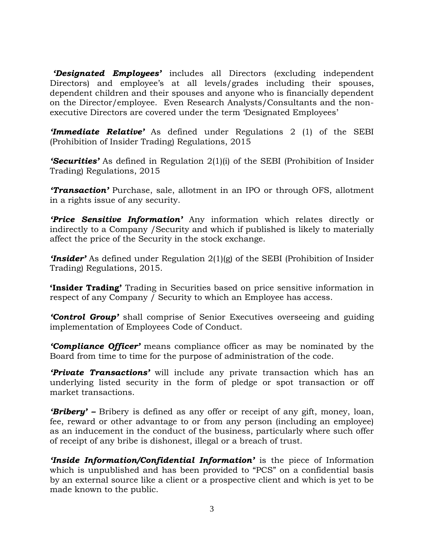*'Designated Employees'* includes all Directors (excluding independent Directors) and employee's at all levels/grades including their spouses, dependent children and their spouses and anyone who is financially dependent on the Director/employee. Even Research Analysts/Consultants and the nonexecutive Directors are covered under the term "Designated Employees"

*'Immediate Relative'* As defined under Regulations 2 (1) of the SEBI (Prohibition of Insider Trading) Regulations, 2015

*'Securities'* As defined in Regulation 2(1)(i) of the SEBI (Prohibition of Insider Trading) Regulations, 2015

*'Transaction'* Purchase, sale, allotment in an IPO or through OFS, allotment in a rights issue of any security.

*'Price Sensitive Information'* Any information which relates directly or indirectly to a Company /Security and which if published is likely to materially affect the price of the Security in the stock exchange.

*'Insider'* As defined under Regulation 2(1)(g) of the SEBI (Prohibition of Insider Trading) Regulations, 2015.

**'Insider Trading'** Trading in Securities based on price sensitive information in respect of any Company / Security to which an Employee has access.

*'Control Group'* shall comprise of Senior Executives overseeing and guiding implementation of Employees Code of Conduct.

*'Compliance Officer'* means compliance officer as may be nominated by the Board from time to time for the purpose of administration of the code.

*'Private Transactions'* will include any private transaction which has an underlying listed security in the form of pledge or spot transaction or off market transactions.

*'Bribery' –* Bribery is defined as any offer or receipt of any gift, money, loan, fee, reward or other advantage to or from any person (including an employee) as an inducement in the conduct of the business, particularly where such offer of receipt of any bribe is dishonest, illegal or a breach of trust.

*'Inside Information/Confidential Information'* is the piece of Information which is unpublished and has been provided to "PCS" on a confidential basis by an external source like a client or a prospective client and which is yet to be made known to the public.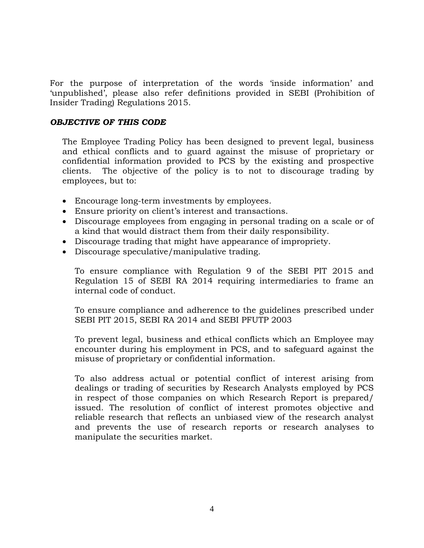For the purpose of interpretation of the words "inside information" and "unpublished", please also refer definitions provided in SEBI (Prohibition of Insider Trading) Regulations 2015.

### *OBJECTIVE OF THIS CODE*

The Employee Trading Policy has been designed to prevent legal, business and ethical conflicts and to guard against the misuse of proprietary or confidential information provided to PCS by the existing and prospective clients. The objective of the policy is to not to discourage trading by employees, but to:

- Encourage long-term investments by employees.
- Ensure priority on client"s interest and transactions.
- Discourage employees from engaging in personal trading on a scale or of a kind that would distract them from their daily responsibility.
- Discourage trading that might have appearance of impropriety.
- Discourage speculative/manipulative trading.

To ensure compliance with Regulation 9 of the SEBI PIT 2015 and Regulation 15 of SEBI RA 2014 requiring intermediaries to frame an internal code of conduct.

To ensure compliance and adherence to the guidelines prescribed under SEBI PIT 2015, SEBI RA 2014 and SEBI PFUTP 2003

To prevent legal, business and ethical conflicts which an Employee may encounter during his employment in PCS, and to safeguard against the misuse of proprietary or confidential information.

To also address actual or potential conflict of interest arising from dealings or trading of securities by Research Analysts employed by PCS in respect of those companies on which Research Report is prepared/ issued. The resolution of conflict of interest promotes objective and reliable research that reflects an unbiased view of the research analyst and prevents the use of research reports or research analyses to manipulate the securities market.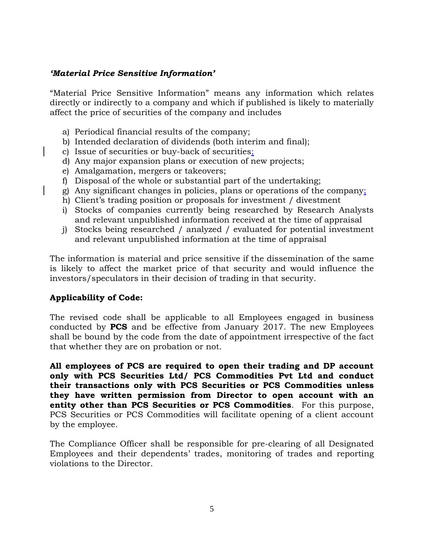### *'Material Price Sensitive Information'*

"Material Price Sensitive Information" means any information which relates directly or indirectly to a company and which if published is likely to materially affect the price of securities of the company and includes

- a) Periodical financial results of the company;
- b) Intended declaration of dividends (both interim and final);
- c) Issue of securities or buy-back of securities;
- d) Any major expansion plans or execution of new projects;
- e) Amalgamation, mergers or takeovers;
- f) Disposal of the whole or substantial part of the undertaking;
- g) Any significant changes in policies, plans or operations of the company;
- h) Client's trading position or proposals for investment / divestment
- i) Stocks of companies currently being researched by Research Analysts and relevant unpublished information received at the time of appraisal
- j) Stocks being researched / analyzed / evaluated for potential investment and relevant unpublished information at the time of appraisal

The information is material and price sensitive if the dissemination of the same is likely to affect the market price of that security and would influence the investors/speculators in their decision of trading in that security.

### **Applicability of Code:**

The revised code shall be applicable to all Employees engaged in business conducted by **PCS** and be effective from January 2017. The new Employees shall be bound by the code from the date of appointment irrespective of the fact that whether they are on probation or not.

**All employees of PCS are required to open their trading and DP account only with PCS Securities Ltd/ PCS Commodities Pvt Ltd and conduct their transactions only with PCS Securities or PCS Commodities unless they have written permission from Director to open account with an entity other than PCS Securities or PCS Commodities**. For this purpose, PCS Securities or PCS Commodities will facilitate opening of a client account by the employee.

The Compliance Officer shall be responsible for pre-clearing of all Designated Employees and their dependents' trades, monitoring of trades and reporting violations to the Director.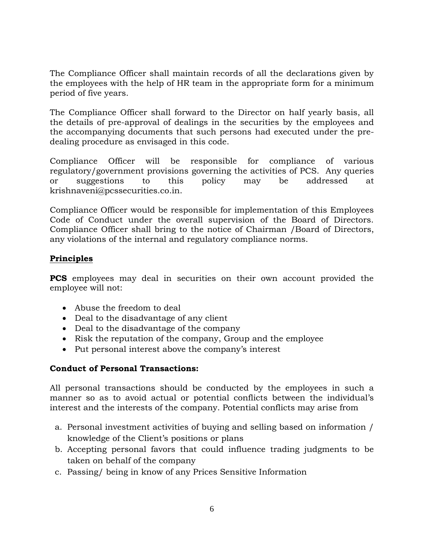The Compliance Officer shall maintain records of all the declarations given by the employees with the help of HR team in the appropriate form for a minimum period of five years.

The Compliance Officer shall forward to the Director on half yearly basis, all the details of pre-approval of dealings in the securities by the employees and the accompanying documents that such persons had executed under the predealing procedure as envisaged in this code.

Compliance Officer will be responsible for compliance of various regulatory/government provisions governing the activities of PCS. Any queries or suggestions to this policy may be addressed at krishnaveni@pcssecurities.co.in.

Compliance Officer would be responsible for implementation of this Employees Code of Conduct under the overall supervision of the Board of Directors. Compliance Officer shall bring to the notice of Chairman /Board of Directors, any violations of the internal and regulatory compliance norms.

# **Principles**

**PCS** employees may deal in securities on their own account provided the employee will not:

- Abuse the freedom to deal
- Deal to the disadvantage of any client
- Deal to the disadvantage of the company
- Risk the reputation of the company, Group and the employee
- Put personal interest above the company"s interest

# **Conduct of Personal Transactions:**

All personal transactions should be conducted by the employees in such a manner so as to avoid actual or potential conflicts between the individual"s interest and the interests of the company. Potential conflicts may arise from

- a. Personal investment activities of buying and selling based on information / knowledge of the Client"s positions or plans
- b. Accepting personal favors that could influence trading judgments to be taken on behalf of the company
- c. Passing/ being in know of any Prices Sensitive Information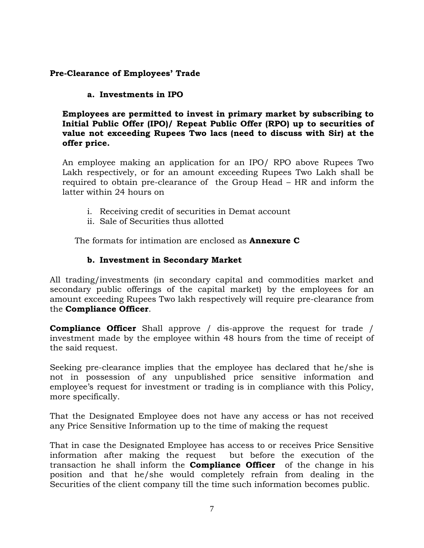# **Pre-Clearance of Employees' Trade**

## **a. Investments in IPO**

**Employees are permitted to invest in primary market by subscribing to Initial Public Offer (IPO)/ Repeat Public Offer (RPO) up to securities of value not exceeding Rupees Two lacs (need to discuss with Sir) at the offer price.** 

An employee making an application for an IPO/ RPO above Rupees Two Lakh respectively, or for an amount exceeding Rupees Two Lakh shall be required to obtain pre-clearance of the Group Head – HR and inform the latter within 24 hours on

- i. Receiving credit of securities in Demat account
- ii. Sale of Securities thus allotted

The formats for intimation are enclosed as **Annexure C**

## **b. Investment in Secondary Market**

All trading/investments (in secondary capital and commodities market and secondary public offerings of the capital market) by the employees for an amount exceeding Rupees Two lakh respectively will require pre-clearance from the **Compliance Officer**.

**Compliance Officer** Shall approve / dis-approve the request for trade / investment made by the employee within 48 hours from the time of receipt of the said request.

Seeking pre-clearance implies that the employee has declared that he/she is not in possession of any unpublished price sensitive information and employee's request for investment or trading is in compliance with this Policy, more specifically.

That the Designated Employee does not have any access or has not received any Price Sensitive Information up to the time of making the request

That in case the Designated Employee has access to or receives Price Sensitive information after making the request but before the execution of the transaction he shall inform the **Compliance Officer** of the change in his position and that he/she would completely refrain from dealing in the Securities of the client company till the time such information becomes public.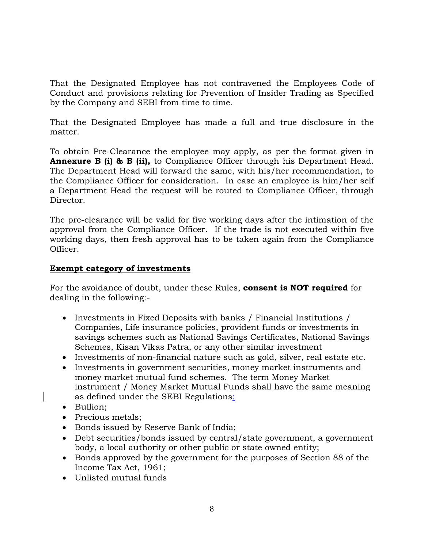That the Designated Employee has not contravened the Employees Code of Conduct and provisions relating for Prevention of Insider Trading as Specified by the Company and SEBI from time to time.

That the Designated Employee has made a full and true disclosure in the matter.

To obtain Pre-Clearance the employee may apply, as per the format given in **Annexure B (i) & B (ii),** to Compliance Officer through his Department Head. The Department Head will forward the same, with his/her recommendation, to the Compliance Officer for consideration. In case an employee is him/her self a Department Head the request will be routed to Compliance Officer, through Director.

The pre-clearance will be valid for five working days after the intimation of the approval from the Compliance Officer. If the trade is not executed within five working days, then fresh approval has to be taken again from the Compliance Officer.

## **Exempt category of investments**

For the avoidance of doubt, under these Rules, **consent is NOT required** for dealing in the following:-

- Investments in Fixed Deposits with banks / Financial Institutions / Companies, Life insurance policies, provident funds or investments in savings schemes such as National Savings Certificates, National Savings Schemes, Kisan Vikas Patra, or any other similar investment
- Investments of non-financial nature such as gold, silver, real estate etc.
- Investments in government securities, money market instruments and money market mutual fund schemes. The term Money Market instrument / Money Market Mutual Funds shall have the same meaning as defined under the SEBI Regulations:
- Bullion;
- Precious metals;
- Bonds issued by Reserve Bank of India;
- Debt securities/bonds issued by central/state government, a government body, a local authority or other public or state owned entity;
- Bonds approved by the government for the purposes of Section 88 of the Income Tax Act, 1961;
- Unlisted mutual funds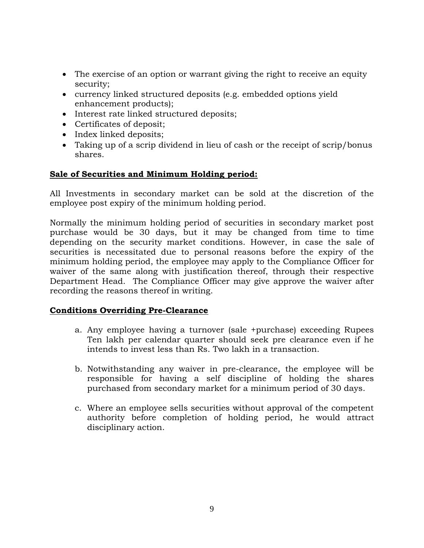- The exercise of an option or warrant giving the right to receive an equity security;
- currency linked structured deposits (e.g. embedded options yield enhancement products);
- Interest rate linked structured deposits;
- Certificates of deposit;
- Index linked deposits;
- Taking up of a scrip dividend in lieu of cash or the receipt of scrip/bonus shares.

## **Sale of Securities and Minimum Holding period:**

All Investments in secondary market can be sold at the discretion of the employee post expiry of the minimum holding period.

Normally the minimum holding period of securities in secondary market post purchase would be 30 days, but it may be changed from time to time depending on the security market conditions. However, in case the sale of securities is necessitated due to personal reasons before the expiry of the minimum holding period, the employee may apply to the Compliance Officer for waiver of the same along with justification thereof, through their respective Department Head. The Compliance Officer may give approve the waiver after recording the reasons thereof in writing.

### **Conditions Overriding Pre-Clearance**

- a. Any employee having a turnover (sale +purchase) exceeding Rupees Ten lakh per calendar quarter should seek pre clearance even if he intends to invest less than Rs. Two lakh in a transaction.
- b. Notwithstanding any waiver in pre-clearance, the employee will be responsible for having a self discipline of holding the shares purchased from secondary market for a minimum period of 30 days.
- c. Where an employee sells securities without approval of the competent authority before completion of holding period, he would attract disciplinary action.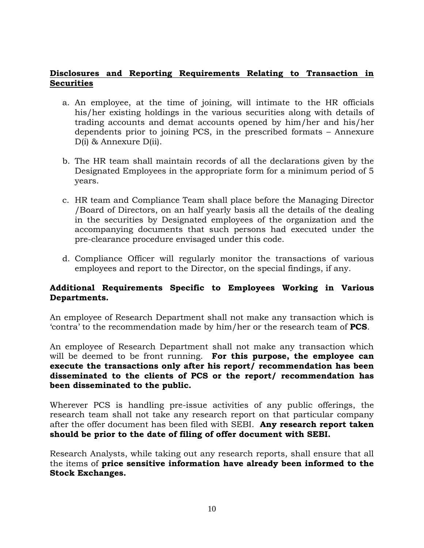## **Disclosures and Reporting Requirements Relating to Transaction in Securities**

- a. An employee, at the time of joining, will intimate to the HR officials his/her existing holdings in the various securities along with details of trading accounts and demat accounts opened by him/her and his/her dependents prior to joining PCS, in the prescribed formats – Annexure D(i) & Annexure D(ii).
- b. The HR team shall maintain records of all the declarations given by the Designated Employees in the appropriate form for a minimum period of 5 years.
- c. HR team and Compliance Team shall place before the Managing Director /Board of Directors, on an half yearly basis all the details of the dealing in the securities by Designated employees of the organization and the accompanying documents that such persons had executed under the pre-clearance procedure envisaged under this code.
- d. Compliance Officer will regularly monitor the transactions of various employees and report to the Director, on the special findings, if any.

# **Additional Requirements Specific to Employees Working in Various Departments.**

An employee of Research Department shall not make any transaction which is "contra" to the recommendation made by him/her or the research team of **PCS**.

An employee of Research Department shall not make any transaction which will be deemed to be front running. **For this purpose, the employee can execute the transactions only after his report/ recommendation has been disseminated to the clients of PCS or the report/ recommendation has been disseminated to the public.**

Wherever PCS is handling pre-issue activities of any public offerings, the research team shall not take any research report on that particular company after the offer document has been filed with SEBI. **Any research report taken should be prior to the date of filing of offer document with SEBI.**

Research Analysts, while taking out any research reports, shall ensure that all the items of **price sensitive information have already been informed to the Stock Exchanges.**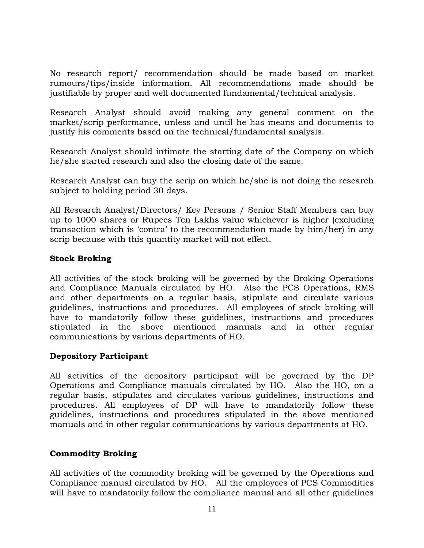No research report/ recommendation should be made based on market rumours/tips/inside information. All recommendations made should be justifiable by proper and well documented fundamental/technical analysis.

Research Analyst should avoid making any general comment on the market/scrip performance, unless and until he has means and documents to justify his comments based on the technical/fundamental analysis.

Research Analyst should intimate the starting date of the Company on which he/she started research and also the closing date of the same.

Research Analyst can buy the scrip on which he/she is not doing the research subject to holding period 30 days.

All Research Analyst/Directors/ Key Persons / Senior Staff Members can buy up to 1000 shares or Rupees Ten Lakhs value whichever is higher (excluding transaction which is "contra" to the recommendation made by him/her) in any scrip because with this quantity market will not effect.

## **Stock Broking**

All activities of the stock broking will be governed by the Broking Operations and Compliance Manuals circulated by HO. Also the PCS Operations, RMS and other departments on a regular basis, stipulate and circulate various guidelines, instructions and procedures. All employees of stock broking will have to mandatorily follow these guidelines, instructions and procedures stipulated in the above mentioned manuals and in other regular communications by various departments of HO.

# **Depository Participant**

All activities of the depository participant will be governed by the DP Operations and Compliance manuals circulated by HO. Also the HO, on a regular basis, stipulates and circulates various guidelines, instructions and procedures. All employees of DP will have to mandatorily follow these guidelines, instructions and procedures stipulated in the above mentioned manuals and in other regular communications by various departments at HO.

# **Commodity Broking**

All activities of the commodity broking will be governed by the Operations and Compliance manual circulated by HO. All the employees of PCS Commodities will have to mandatorily follow the compliance manual and all other guidelines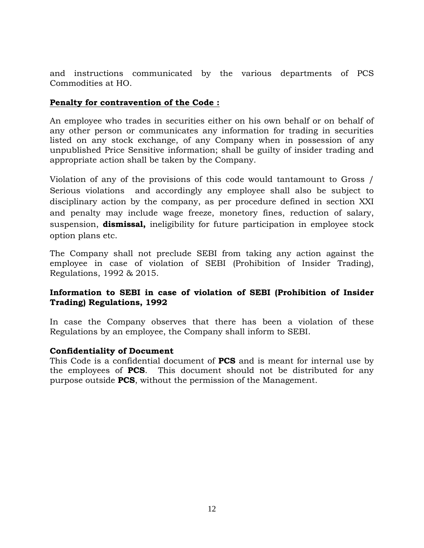and instructions communicated by the various departments of PCS Commodities at HO.

## **Penalty for contravention of the Code :**

An employee who trades in securities either on his own behalf or on behalf of any other person or communicates any information for trading in securities listed on any stock exchange, of any Company when in possession of any unpublished Price Sensitive information; shall be guilty of insider trading and appropriate action shall be taken by the Company.

Violation of any of the provisions of this code would tantamount to Gross / Serious violations and accordingly any employee shall also be subject to disciplinary action by the company, as per procedure defined in section XXI and penalty may include wage freeze, monetory fines, reduction of salary, suspension, **dismissal,** ineligibility for future participation in employee stock option plans etc.

The Company shall not preclude SEBI from taking any action against the employee in case of violation of SEBI (Prohibition of Insider Trading), Regulations, 1992 & 2015.

## **Information to SEBI in case of violation of SEBI (Prohibition of Insider Trading) Regulations, 1992**

In case the Company observes that there has been a violation of these Regulations by an employee, the Company shall inform to SEBI.

### **Confidentiality of Document**

This Code is a confidential document of **PCS** and is meant for internal use by the employees of **PCS**. This document should not be distributed for any purpose outside **PCS**, without the permission of the Management.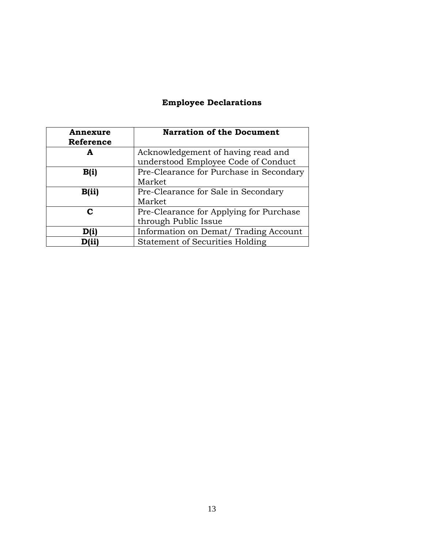# **Employee Declarations**

| Annexure<br>Reference | <b>Narration of the Document</b>        |
|-----------------------|-----------------------------------------|
| А                     | Acknowledgement of having read and      |
|                       | understood Employee Code of Conduct     |
| B(i)                  | Pre-Clearance for Purchase in Secondary |
|                       | Market                                  |
| B(ii)                 | Pre-Clearance for Sale in Secondary     |
|                       | Market                                  |
| C                     | Pre-Clearance for Applying for Purchase |
|                       | through Public Issue                    |
| Dfi                   | Information on Demat/Trading Account    |
|                       | <b>Statement of Securities Holding</b>  |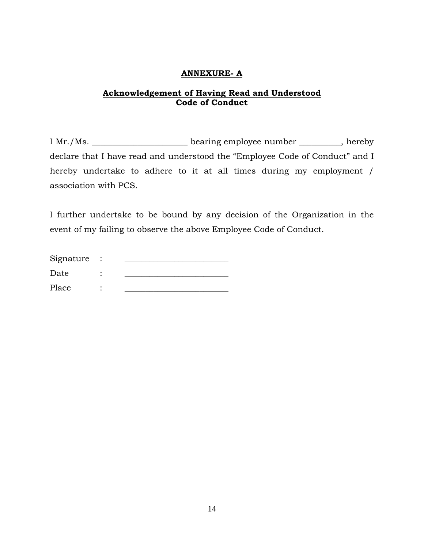#### **ANNEXURE- A**

## **Acknowledgement of Having Read and Understood Code of Conduct**

I Mr./Ms. \_\_\_\_\_\_\_\_\_\_\_\_\_\_\_\_\_\_\_\_\_\_\_ bearing employee number \_\_\_\_\_\_\_\_\_\_, hereby declare that I have read and understood the "Employee Code of Conduct" and I hereby undertake to adhere to it at all times during my employment / association with PCS.

I further undertake to be bound by any decision of the Organization in the event of my failing to observe the above Employee Code of Conduct.

| Signature |  |
|-----------|--|
| Date      |  |
| Place     |  |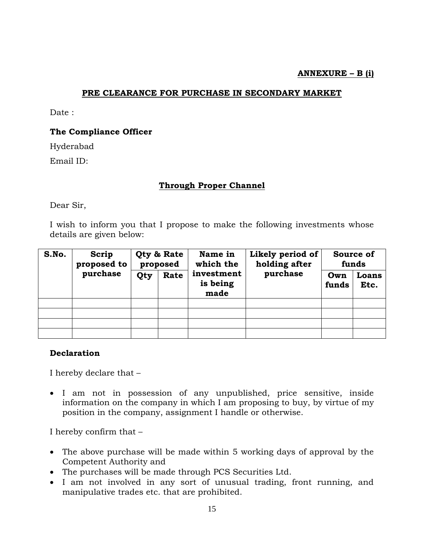### **ANNEXURE – B (i)**

#### **PRE CLEARANCE FOR PURCHASE IN SECONDARY MARKET**

Date:

#### **The Compliance Officer**

Hyderabad

Email ID:

#### **Through Proper Channel**

Dear Sir,

I wish to inform you that I propose to make the following investments whose details are given below:

| S.No. | Scrip<br>proposed to<br>purchase | Qty & Rate<br>proposed |      | Name in<br>which the           | Likely period of<br>holding after | Source of<br>funds |               |
|-------|----------------------------------|------------------------|------|--------------------------------|-----------------------------------|--------------------|---------------|
|       |                                  | Qty                    | Rate | investment<br>is being<br>made | purchase                          | Own<br>funds       | Loans<br>Etc. |
|       |                                  |                        |      |                                |                                   |                    |               |
|       |                                  |                        |      |                                |                                   |                    |               |
|       |                                  |                        |      |                                |                                   |                    |               |
|       |                                  |                        |      |                                |                                   |                    |               |

#### **Declaration**

I hereby declare that –

 I am not in possession of any unpublished, price sensitive, inside information on the company in which I am proposing to buy, by virtue of my position in the company, assignment I handle or otherwise.

I hereby confirm that –

- The above purchase will be made within 5 working days of approval by the Competent Authority and
- The purchases will be made through PCS Securities Ltd.
- I am not involved in any sort of unusual trading, front running, and manipulative trades etc. that are prohibited.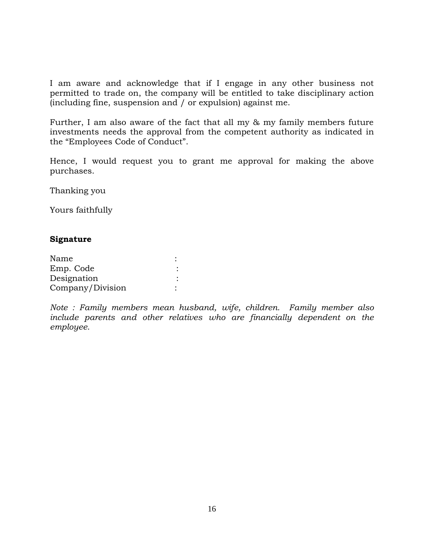I am aware and acknowledge that if I engage in any other business not permitted to trade on, the company will be entitled to take disciplinary action (including fine, suspension and / or expulsion) against me.

Further, I am also aware of the fact that all my & my family members future investments needs the approval from the competent authority as indicated in the "Employees Code of Conduct".

Hence, I would request you to grant me approval for making the above purchases.

Thanking you

Yours faithfully

#### **Signature**

| Name             |  |
|------------------|--|
| Emp. Code        |  |
| Designation      |  |
| Company/Division |  |

*Note : Family members mean husband, wife, children. Family member also*  include parents and other relatives who are financially dependent on the *employee.*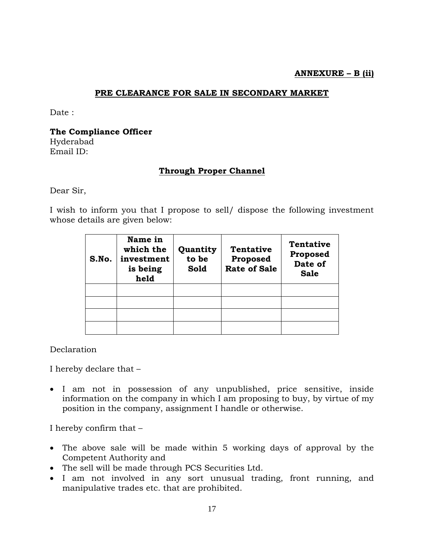#### **ANNEXURE – B (ii)**

#### **PRE CLEARANCE FOR SALE IN SECONDARY MARKET**

Date:

**The Compliance Officer** Hyderabad

Email ID:

### **Through Proper Channel**

Dear Sir,

I wish to inform you that I propose to sell/ dispose the following investment whose details are given below:

| S.No. | Name in<br>which the<br>investment<br>is being<br>held | Quantity<br>to be<br>Sold | <b>Tentative</b><br>Proposed<br><b>Rate of Sale</b> | <b>Tentative</b><br>Proposed<br>Date of<br><b>Sale</b> |
|-------|--------------------------------------------------------|---------------------------|-----------------------------------------------------|--------------------------------------------------------|
|       |                                                        |                           |                                                     |                                                        |
|       |                                                        |                           |                                                     |                                                        |
|       |                                                        |                           |                                                     |                                                        |
|       |                                                        |                           |                                                     |                                                        |

Declaration

I hereby declare that –

 I am not in possession of any unpublished, price sensitive, inside information on the company in which I am proposing to buy, by virtue of my position in the company, assignment I handle or otherwise.

I hereby confirm that –

- The above sale will be made within 5 working days of approval by the Competent Authority and
- The sell will be made through PCS Securities Ltd.
- I am not involved in any sort unusual trading, front running, and manipulative trades etc. that are prohibited.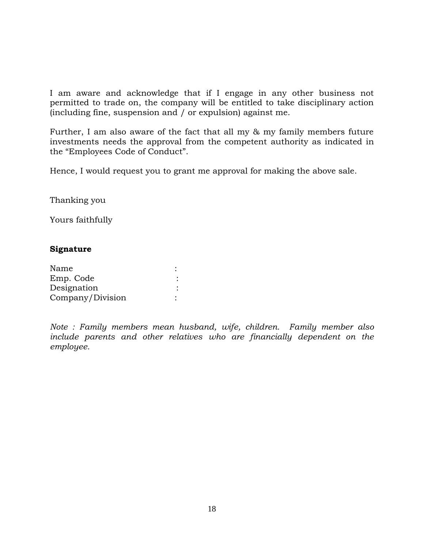I am aware and acknowledge that if I engage in any other business not permitted to trade on, the company will be entitled to take disciplinary action (including fine, suspension and / or expulsion) against me.

Further, I am also aware of the fact that all my & my family members future investments needs the approval from the competent authority as indicated in the "Employees Code of Conduct".

Hence, I would request you to grant me approval for making the above sale.

Thanking you

Yours faithfully

#### **Signature**

| Name             |  |
|------------------|--|
| Emp. Code        |  |
| Designation      |  |
| Company/Division |  |

*Note : Family members mean husband, wife, children. Family member also*  include parents and other relatives who are financially dependent on the *employee.*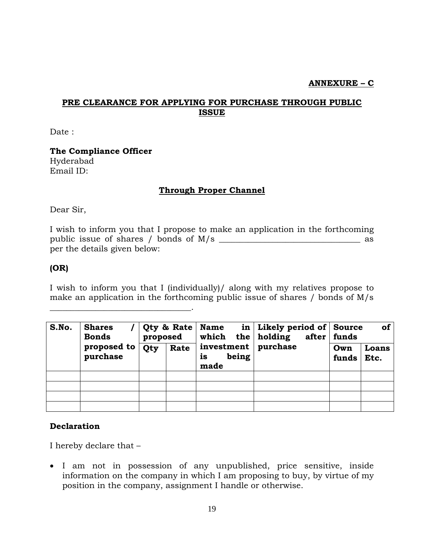## **ANNEXURE – C**

# **PRE CLEARANCE FOR APPLYING FOR PURCHASE THROUGH PUBLIC ISSUE**

Date:

**The Compliance Officer** Hyderabad Email ID:

\_\_\_\_\_\_\_\_\_\_\_\_\_\_\_\_\_\_\_\_\_\_\_\_\_\_\_\_\_\_\_\_\_\_.

### **Through Proper Channel**

Dear Sir,

I wish to inform you that I propose to make an application in the forthcoming public issue of shares / bonds of M/s \_\_\_\_\_\_\_\_\_\_\_\_\_\_\_\_\_\_\_\_\_\_\_\_\_\_\_\_\_\_\_\_\_\_ as per the details given below:

### **(OR)**

I wish to inform you that I (individually)/ along with my relatives propose to make an application in the forthcoming public issue of shares / bonds of M/s

| S.No. | <b>Shares</b><br><b>Bonds</b><br>proposed to<br>purchase | Qty & Rate<br>proposed |      | Name<br>which the holding                    | in   Likely period of $\vert$ Source<br>after | of<br>  funds |               |
|-------|----------------------------------------------------------|------------------------|------|----------------------------------------------|-----------------------------------------------|---------------|---------------|
|       |                                                          | Qty                    | Rate | investment   purchase<br>being<br>is<br>made |                                               | Own<br>funds  | Loans<br>Etc. |
|       |                                                          |                        |      |                                              |                                               |               |               |
|       |                                                          |                        |      |                                              |                                               |               |               |
|       |                                                          |                        |      |                                              |                                               |               |               |
|       |                                                          |                        |      |                                              |                                               |               |               |

### **Declaration**

I hereby declare that –

 I am not in possession of any unpublished, price sensitive, inside information on the company in which I am proposing to buy, by virtue of my position in the company, assignment I handle or otherwise.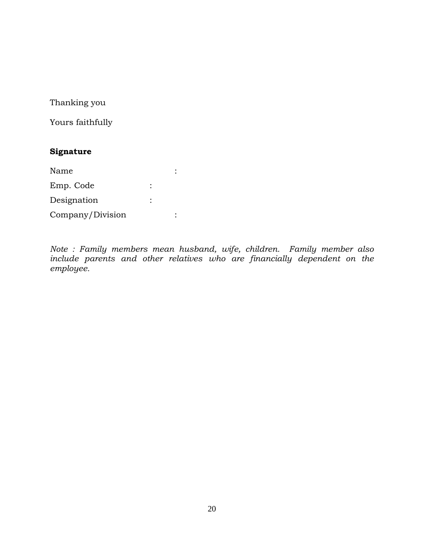Thanking you

Yours faithfully

# **Signature**

| Name             |  |
|------------------|--|
| Emp. Code        |  |
| Designation      |  |
| Company/Division |  |

*Note : Family members mean husband, wife, children. Family member also*  include parents and other relatives who are financially dependent on the *employee.*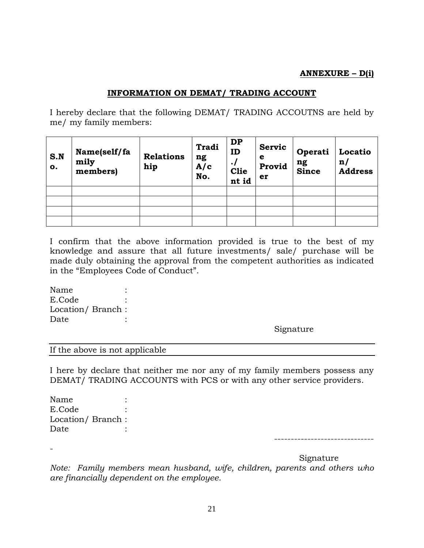## **ANNEXURE – D(i)**

# **INFORMATION ON DEMAT/ TRADING ACCOUNT**

I hereby declare that the following DEMAT/ TRADING ACCOUTNS are held by me/ my family members:

| S.N<br>o. | Name(self/fa<br>mily<br>members) | <b>Relations</b><br>hip | <b>Tradi</b><br>ng<br>A/c<br>No. | <b>DP</b><br>ID<br>$\cdot$ /<br><b>Clie</b><br>nt id | <b>Servic</b><br>e<br>Provid<br>er | Operati<br>ng<br>Since | Locatio<br>$\mathbf{n}$<br><b>Address</b> |
|-----------|----------------------------------|-------------------------|----------------------------------|------------------------------------------------------|------------------------------------|------------------------|-------------------------------------------|
|           |                                  |                         |                                  |                                                      |                                    |                        |                                           |
|           |                                  |                         |                                  |                                                      |                                    |                        |                                           |
|           |                                  |                         |                                  |                                                      |                                    |                        |                                           |
|           |                                  |                         |                                  |                                                      |                                    |                        |                                           |

I confirm that the above information provided is true to the best of my knowledge and assure that all future investments/ sale/ purchase will be made duly obtaining the approval from the competent authorities as indicated in the "Employees Code of Conduct".

Name : E.Code : Location/ Branch : Date :

Signature

If the above is not applicable

I here by declare that neither me nor any of my family members possess any DEMAT/ TRADING ACCOUNTS with PCS or with any other service providers.

Name : E.Code : Location/ Branch : Date :

-

------------------------------

Signature

*Note: Family members mean husband, wife, children, parents and others who are financially dependent on the employee.*